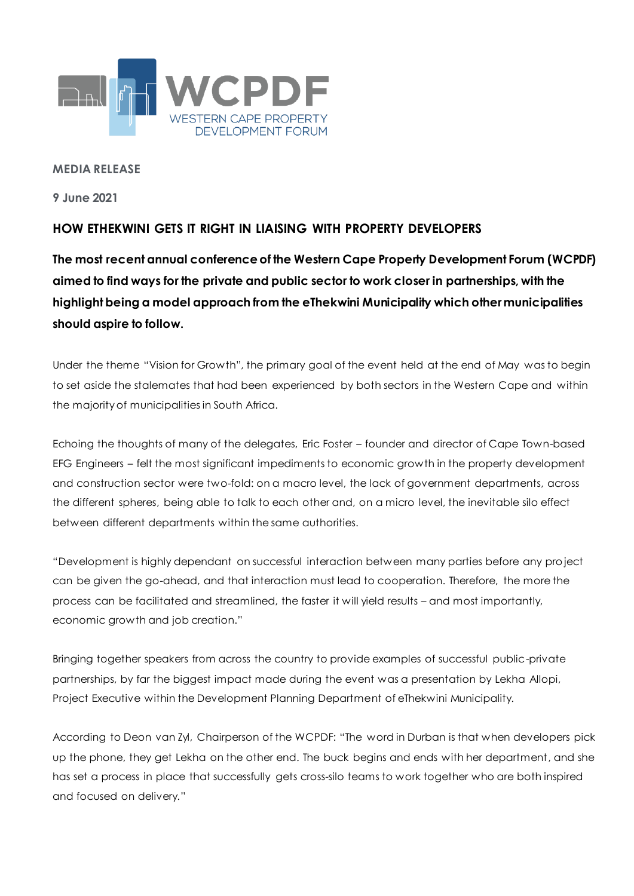

### **MEDIA RELEASE**

**9 June 2021**

# **HOW ETHEKWINI GETS IT RIGHT IN LIAISING WITH PROPERTY DEVELOPERS**

**The most recent annual conference of the Western Cape Property Development Forum (WCPDF) aimed to find ways for the private and public sector to work closer in partnerships, with the highlight being a model approach from the eThekwini Municipality which other municipalities should aspire to follow.**

Under the theme "Vision for Growth", the primary goal of the event held at the end of May was to begin to set aside the stalemates that had been experienced by both sectors in the Western Cape and within the majority of municipalities in South Africa.

Echoing the thoughts of many of the delegates, Eric Foster – founder and director of Cape Town-based EFG Engineers – felt the most significant impediments to economic growth in the property development and construction sector were two-fold: on a macro level, the lack of government departments, across the different spheres, being able to talk to each other and, on a micro level, the inevitable silo effect between different departments within the same authorities.

"Development is highly dependant on successful interaction between many parties before any pro ject can be given the go-ahead, and that interaction must lead to cooperation. Therefore, the more the process can be facilitated and streamlined, the faster it will yield results – and most importantly, economic growth and job creation."

Bringing together speakers from across the country to provide examples of successful public-private partnerships, by far the biggest impact made during the event was a presentation by Lekha Allopi, Project Executive within the Development Planning Department of eThekwini Municipality.

According to Deon van Zyl, Chairperson of the WCPDF: "The word in Durban is that when developers pick up the phone, they get Lekha on the other end. The buck begins and ends with her department, and she has set a process in place that successfully gets cross-silo teams to work together who are both inspired and focused on delivery."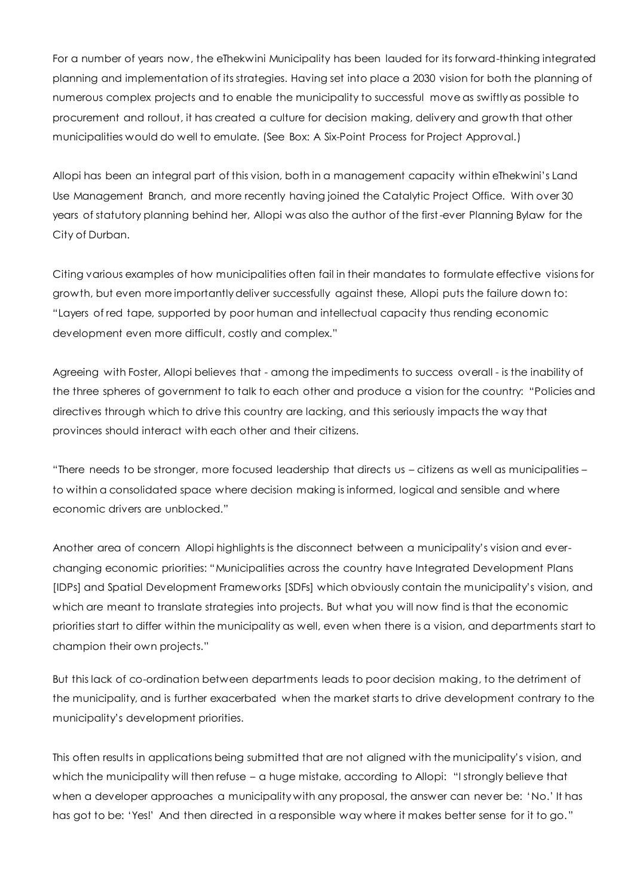For a number of years now, the eThekwini Municipality has been lauded for its forward-thinking integrated planning and implementation of its strategies. Having set into place a 2030 vision for both the planning of numerous complex projects and to enable the municipality to successful move as swiftly as possible to procurement and rollout, it has created a culture for decision making, delivery and growth that other municipalities would do well to emulate. (See Box: A Six-Point Process for Project Approval.)

Allopi has been an integral part of this vision, both in a management capacity within eThekwini"s Land Use Management Branch, and more recently having joined the Catalytic Project Office. With over 30 years of statutory planning behind her, Allopi was also the author of the first-ever Planning Bylaw for the City of Durban.

Citing various examples of how municipalities often fail in their mandates to formulate effective visions for growth, but even more importantly deliver successfully against these, Allopi puts the failure down to: "Layers of red tape, supported by poor human and intellectual capacity thus rending economic development even more difficult, costly and complex."

Agreeing with Foster, Allopi believes that - among the impediments to success overall - is the inability of the three spheres of government to talk to each other and produce a vision for the country: "Policies and directives through which to drive this country are lacking, and this seriously impacts the way that provinces should interact with each other and their citizens.

"There needs to be stronger, more focused leadership that directs us – citizens as well as municipalities – to within a consolidated space where decision making is informed, logical and sensible and where economic drivers are unblocked."

Another area of concern Allopi highlights is the disconnect between a municipality"s vision and everchanging economic priorities: "Municipalities across the country have Integrated Development Plans [IDPs] and Spatial Development Frameworks [SDFs] which obviously contain the municipality"s vision, and which are meant to translate strategies into projects. But what you will now find is that the economic priorities start to differ within the municipality as well, even when there is a vision, and departments start to champion their own projects."

But this lack of co-ordination between departments leads to poor decision making, to the detriment of the municipality, and is further exacerbated when the market starts to drive development contrary to the municipality"s development priorities.

This often results in applications being submitted that are not aligned with the municipality"s vision, and which the municipality will then refuse – a huge mistake, according to Allopi: "I strongly believe that when a developer approaches a municipality with any proposal, the answer can never be: 'No.' It has has got to be: "Yes!" And then directed in a responsible way where it makes better sense for it to go."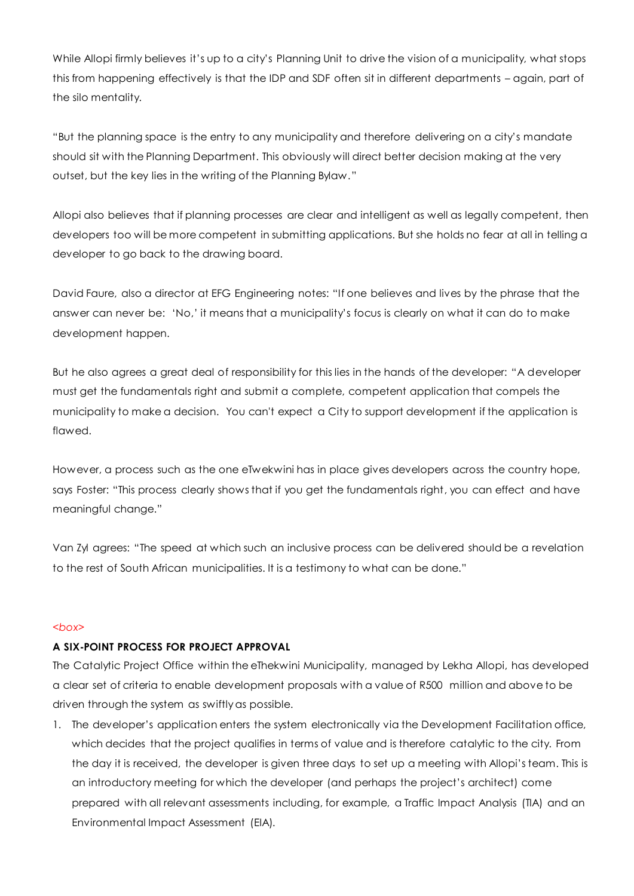While Allopi firmly believes it"s up to a city"s Planning Unit to drive the vision of a municipality, what stops this from happening effectively is that the IDP and SDF often sit in different departments – again, part of the silo mentality.

"But the planning space is the entry to any municipality and therefore delivering on a city"s mandate should sit with the Planning Department. This obviously will direct better decision making at the very outset, but the key lies in the writing of the Planning Bylaw."

Allopi also believes that if planning processes are clear and intelligent as well as legally competent, then developers too will be more competent in submitting applications. But she holds no fear at all in telling a developer to go back to the drawing board.

David Faure, also a director at EFG Engineering notes: "If one believes and lives by the phrase that the answer can never be: "No," it means that a municipality"s focus is clearly on what it can do to make development happen.

But he also agrees a great deal of responsibility for this lies in the hands of the developer: "A developer must get the fundamentals right and submit a complete, competent application that compels the municipality to make a decision. You can't expect a City to support development if the application is flawed.

However, a process such as the one eTwekwini has in place gives developers across the country hope, says Foster: "This process clearly shows that if you get the fundamentals right, you can effect and have meaningful change."

Van Zyl agrees: "The speed at which such an inclusive process can be delivered should be a revelation to the rest of South African municipalities. It is a testimony to what can be done."

#### *<box>*

## **A SIX-POINT PROCESS FOR PROJECT APPROVAL**

The Catalytic Project Office within the eThekwini Municipality, managed by Lekha Allopi, has developed a clear set of criteria to enable development proposals with a value of R500 million and above to be driven through the system as swiftly as possible.

1. The developer"s application enters the system electronically via the Development Facilitation office, which decides that the project qualifies in terms of value and is therefore catalytic to the city. From the day it is received, the developer is given three days to set up a meeting with Allopi"s team. This is an introductory meeting for which the developer (and perhaps the project"s architect) come prepared with all relevant assessments including, for example, a Traffic Impact Analysis (TIA) and an Environmental Impact Assessment (EIA).